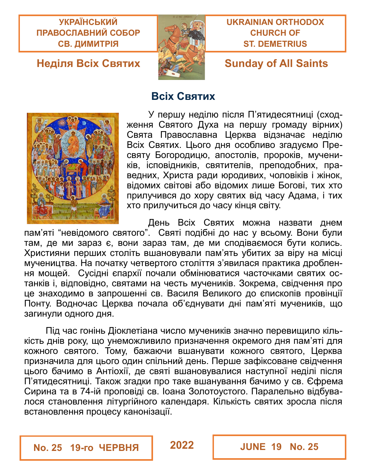**УКРАЇНСЬКИЙ ПРАВОСЛАВНИЙ СОБОР СВ. ДИМИТРІЯ**



**Всіх Святих**

### **UKRAINIAN ORTHODOX CHURCH OF ST. DEMETRIUS**

## **Неділя Всіх Святих Sunday of All Saints**



У першу неділю після П'ятидесятниці (сходження Святого Духа на першу громаду вірних) Свята Православна Церква відзначає неділю Всіх Святих. Цього дня особливо згадуємо Пресвяту Богородицю, апостолів, пророків, мучеників, ісповідників, святителів, преподобних, праведних, Христа ради юродивих, чоловіків і жінок, відомих світові або відомих лише Богові, тих хто прилучився до хору святих від часу Адама, і тих хто прилучиться до часу кінця світу.

День Всіх Святих можна назвати днем пам'яті "невідомого святого". Святі подібні до нас у всьому. Вони були там, де ми зараз є, вони зараз там, де ми сподіваємося бути колись. Християни перших століть вшановували пам'ять убитих за віру на місці мучеництва. На початку четвертого століття з'явилася практика дроблення мощей. Сусідні єпархії почали обмінюватися часточками святих останків і, відповідно, святами на честь мучеників. Зокрема, свідчення про це знаходимо в запрошенні св. Василя Великого до єпископів провінції Понту. Водночас Церква почала об'єднувати дні пам'яті мучеників, що загинули одного дня.

Під час гонінь Діоклетіана число мучеників значно перевищило кількість днів року, що унеможливило призначення окремого дня пам'яті для кожного святого. Тому, бажаючи вшанувати кожного святого, Церква призначила для цього один спільний день. Перше зафіксоване свідчення цього бачимо в Антіохії, де святі вшановувалися наступної неділі після П'ятидесятниці. Також згадки про таке вшанування бачимо у св. Єфрема Сирина та в 74-ій проповіді св. Іоана Золотоустого. Паралельно відбувалося становлення літургійного календаря. Кількість святих зросла після встановлення процесу канонізації.

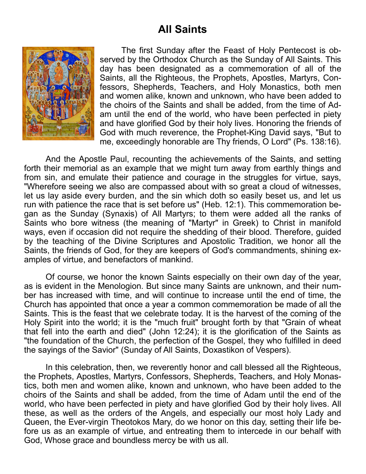## **All Saints**



The first Sunday after the Feast of Holy Pentecost is observed by the Orthodox Church as the Sunday of All Saints. This day has been designated as a commemoration of all of the Saints, all the Righteous, the Prophets, Apostles, Martyrs, Confessors, Shepherds, Teachers, and Holy Monastics, both men and women alike, known and unknown, who have been added to the choirs of the Saints and shall be added, from the time of Adam until the end of the world, who have been perfected in piety and have glorified God by their holy lives. Honoring the friends of God with much reverence, the Prophet-King David says, "But to me, exceedingly honorable are Thy friends, O Lord" (Ps. 138:16).

And the Apostle Paul, recounting the achievements of the Saints, and setting forth their memorial as an example that we might turn away from earthly things and from sin, and emulate their patience and courage in the struggles for virtue, says, "Wherefore seeing we also are compassed about with so great a cloud of witnesses, let us lay aside every burden, and the sin which doth so easily beset us, and let us run with patience the race that is set before us" (Heb. 12:1). This commemoration began as the Sunday (Synaxis) of All Martyrs; to them were added all the ranks of Saints who bore witness (the meaning of "Martyr" in Greek) to Christ in manifold ways, even if occasion did not require the shedding of their blood. Therefore, guided by the teaching of the Divine Scriptures and Apostolic Tradition, we honor all the Saints, the friends of God, for they are keepers of God's commandments, shining examples of virtue, and benefactors of mankind.

Of course, we honor the known Saints especially on their own day of the year, as is evident in the Menologion. But since many Saints are unknown, and their number has increased with time, and will continue to increase until the end of time, the Church has appointed that once a year a common commemoration be made of all the Saints. This is the feast that we celebrate today. It is the harvest of the coming of the Holy Spirit into the world; it is the "much fruit" brought forth by that "Grain of wheat that fell into the earth and died" (John 12:24); it is the glorification of the Saints as "the foundation of the Church, the perfection of the Gospel, they who fulfilled in deed the sayings of the Savior" (Sunday of All Saints, Doxastikon of Vespers).

In this celebration, then, we reverently honor and call blessed all the Righteous, the Prophets, Apostles, Martyrs, Confessors, Shepherds, Teachers, and Holy Monastics, both men and women alike, known and unknown, who have been added to the choirs of the Saints and shall be added, from the time of Adam until the end of the world, who have been perfected in piety and have glorified God by their holy lives. All these, as well as the orders of the Angels, and especially our most holy Lady and Queen, the Ever-virgin Theotokos Mary, do we honor on this day, setting their life before us as an example of virtue, and entreating them to intercede in our behalf with God, Whose grace and boundless mercy be with us all.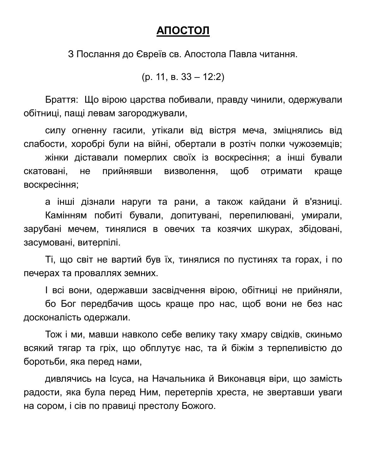### **АПОСТОЛ**

З Послання до Євреїв св. Апостола Павла читання.

(р. 11, в. 33 – 12:2)

Браття: Що вірою царства побивали, правду чинили, одержували обітниці, пащі левам загороджували,

силу огненну гасили, утікали від вістря меча, зміцнялись від слабости, хоробрі були на війні, обертали в розтіч полки чужоземців;

жінки діставали померлих своїх із воскресіння; а інші бували скатовані, не прийнявши визволення, щоб отримати краще воскресіння;

а інші дізнали наруги та рани, а також кайдани й в'язниці. Камінням побиті бували, допитувані, перепилювані, умирали, зарубані мечем, тинялися в овечих та козячих шкурах, збідовані, засумовані, витерпілі.

Ті, що світ не вартий був їх, тинялися по пустинях та горах, і по печерах та проваллях земних.

І всі вони, одержавши засвідчення вірою, обітниці не прийняли,

бо Бог передбачив щось краще про нас, щоб вони не без нас досконалість одержали.

Тож і ми, мавши навколо себе велику таку хмару свідків, скиньмо всякий тягар та гріх, що обплутує нас, та й біжім з терпеливістю до боротьби, яка перед нами,

дивлячись на Ісуса, на Начальника й Виконавця віри, що замість радости, яка була перед Ним, перетерпів хреста, не звертавши уваги на сором, і сів по правиці престолу Божого.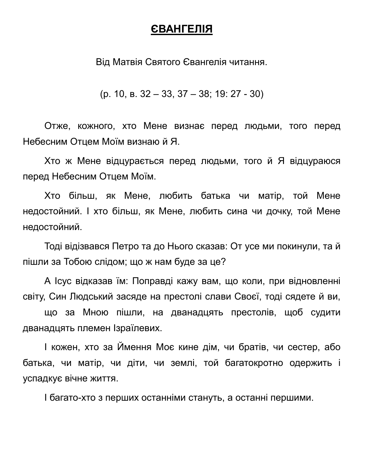## **ЄВАНГЕЛІЯ**

Від Матвія Святого Євангелія читання.

(р. 10, в. 32 – 33, 37 – 38; 19: 27 - 30)

Отже, кожного, хто Мене визнає перед людьми, того перед Небесним Отцем Моїм визнаю й Я.

Хто ж Мене відцурається перед людьми, того й Я відцураюся перед Небесним Отцем Моїм.

Хто більш, як Мене, любить батька чи матір, той Мене недостойний. І хто більш, як Мене, любить сина чи дочку, той Мене недостойний.

Тоді відізвався Петро та до Нього сказав: От усе ми покинули, та й пішли за Тобою слідом; що ж нам буде за це?

А Ісус відказав їм: Поправді кажу вам, що коли, при відновленні світу, Син Людський засяде на престолі слави Своєї, тоді сядете й ви,

що за Мною пішли, на дванадцять престолів, щоб судити дванадцять племен Ізраїлевих.

І кожен, хто за Ймення Моє кине дім, чи братів, чи сестер, або батька, чи матір, чи діти, чи землі, той багатокротно одержить і успадкує вічне життя.

І багато-хто з перших останніми стануть, а останні першими.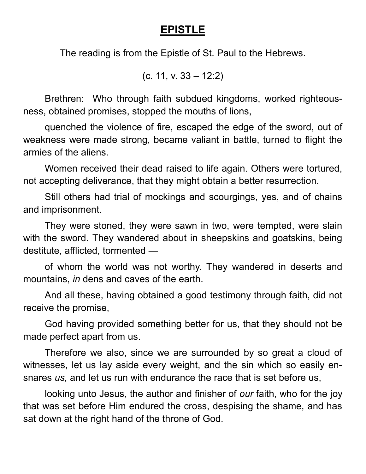## **EPISTLE**

The reading is from the Epistle of St. Paul to the Hebrews.

(c. 11, v. 33 – 12:2)

Brethren: Who through faith subdued kingdoms, worked righteousness, obtained promises, stopped the mouths of lions,

quenched the violence of fire, escaped the edge of the sword, out of weakness were made strong, became valiant in battle, turned to flight the armies of the aliens.

Women received their dead raised to life again. Others were tortured, not accepting deliverance, that they might obtain a better resurrection.

Still others had trial of mockings and scourgings, yes, and of chains and imprisonment.

They were stoned, they were sawn in two, were tempted, were slain with the sword. They wandered about in sheepskins and goatskins, being destitute, afflicted, tormented —

of whom the world was not worthy. They wandered in deserts and mountains, *in* dens and caves of the earth.

And all these, having obtained a good testimony through faith, did not receive the promise,

God having provided something better for us, that they should not be made perfect apart from us.

Therefore we also, since we are surrounded by so great a cloud of witnesses, let us lay aside every weight, and the sin which so easily ensnares *us,* and let us run with endurance the race that is set before us,

looking unto Jesus, the author and finisher of *our* faith, who for the joy that was set before Him endured the cross, despising the shame, and has sat down at the right hand of the throne of God.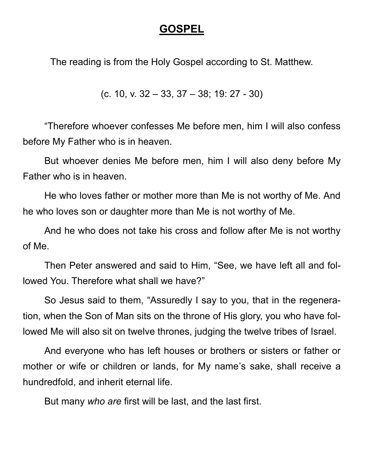## **GOSPEL**

The reading is from the Holy Gospel according to St. Matthew.

(c. 10, v. 32 – 33, 37 – 38; 19: 27 - 30)

"Therefore whoever confesses Me before men, him I will also confess before My Father who is in heaven.

But whoever denies Me before men, him I will also deny before My Father who is in heaven.

He who loves father or mother more than Me is not worthy of Me. And he who loves son or daughter more than Me is not worthy of Me.

And he who does not take his cross and follow after Me is not worthy of Me.

Then Peter answered and said to Him, "See, we have left all and followed You. Therefore what shall we have?"

So Jesus said to them, "Assuredly I say to you, that in the regeneration, when the Son of Man sits on the throne of His glory, you who have followed Me will also sit on twelve thrones, judging the twelve tribes of Israel.

And everyone who has left houses or brothers or sisters or father or mother or wife or children or lands, for My name's sake, shall receive a hundredfold, and inherit eternal life.

But many *who are* first will be last, and the last first.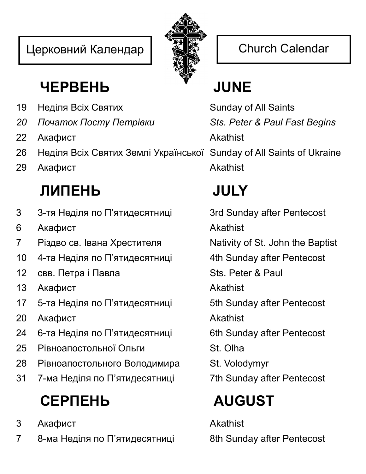## Церковний Календар | <a>  $\left| \begin{array}{c} \frac{2}{\sqrt{2}} \\ \frac{2}{\sqrt{2}} \end{array} \right|$  Church Calendar



## **ЧЕРВЕНЬ JUNE**

- 19 Неділя Всіх Святих Sunday of All Saints
- *20 Початок Посту Петрівки Sts. Peter & Paul Fast Begins*
- 22 Акафист **Akathist**
- 26 Неділя Всіх Святих Землі Української Sunday of All Saints of Ukraine
- 29 Акафист **Akathist**

# **ЛИПЕНЬ JULY**

- 3 3-тя Неділя по П'ятидесятниці 3rd Sunday after Pentecost
- 6 Акафист **Akathist**
- 7 Різдво св. Івана Хрестителя Nativity of St. John the Baptist
- 10 4-та Неділя по П'ятидесятниці 4th Sunday after Pentecost
- 12 свв. Петра і Павла Sts. Peter & Paul
- 13 Акафист **Akathist**
- 17 5-та Неділя по П'ятидесятниці 5th Sunday after Pentecost
- 20 Акафист **Akathist**
- 24 6-та Неділя по П'ятидесятниці 6th Sunday after Pentecost
- 25 Рівноапостольної Ольги St. Olha
- 28 Рівноапостольного Володимира St. Volodymyr
- 31 7-ма Неділя по П'ятидесятниці 7th Sunday after Pentecost

# **СЕРПЕНЬ AUGUST**

- 3 Акафист Akathist
- 7 8-ма Неділя по П'ятидесятниці 8th Sunday after Pentecost